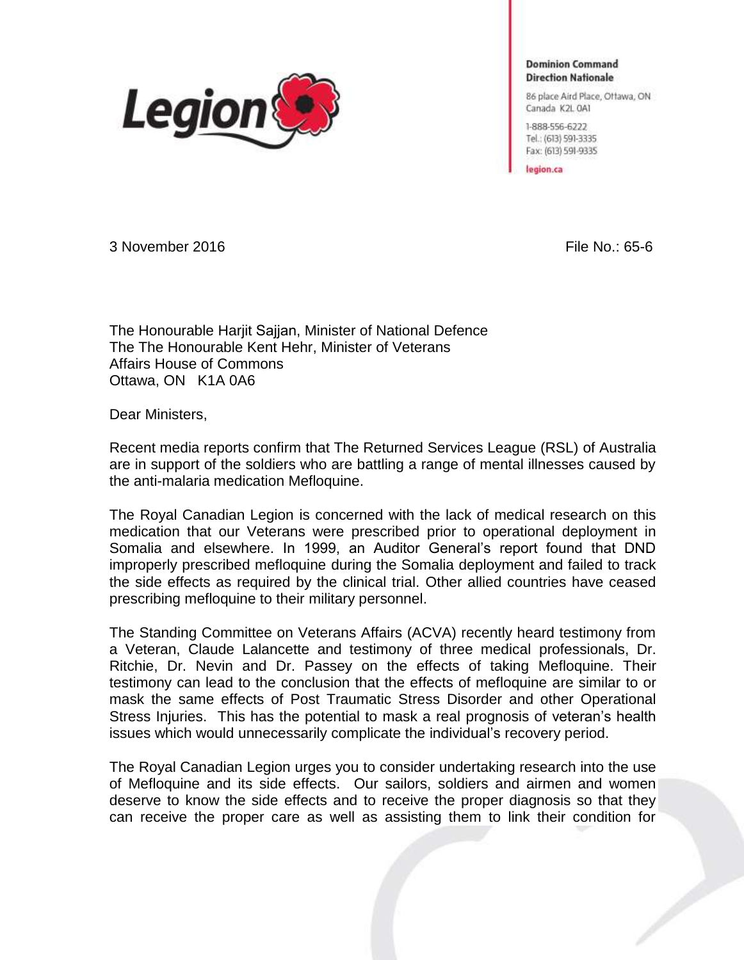

**Dominion Command Direction Nationale** 

86 place Aird Place, Offawa, ON Canada K2L 0A1

1-888-556-6222 Tel: (613) 591-3335 Fax: (613) 591-9335

legion.ca

3 November 2016 File No.: 65-6

The Honourable Harjit Sajjan, Minister of National Defence The The Honourable Kent Hehr, Minister of Veterans Affairs House of Commons Ottawa, ON K1A 0A6

Dear Ministers,

Recent media reports confirm that The Returned Services League (RSL) of Australia are in support of the soldiers who are battling a range of mental illnesses caused by the anti-malaria medication Mefloquine.

The Royal Canadian Legion is concerned with the lack of medical research on this medication that our Veterans were prescribed prior to operational deployment in Somalia and elsewhere. In 1999, an Auditor General's report found that DND improperly prescribed mefloquine during the Somalia deployment and failed to track the side effects as required by the clinical trial. Other allied countries have ceased prescribing mefloquine to their military personnel.

The Standing Committee on Veterans Affairs (ACVA) recently heard testimony from a Veteran, Claude Lalancette and testimony of three medical professionals, Dr. Ritchie, Dr. Nevin and Dr. Passey on the effects of taking Mefloquine. Their testimony can lead to the conclusion that the effects of mefloquine are similar to or mask the same effects of Post Traumatic Stress Disorder and other Operational Stress Injuries. This has the potential to mask a real prognosis of veteran's health issues which would unnecessarily complicate the individual's recovery period.

The Royal Canadian Legion urges you to consider undertaking research into the use of Mefloquine and its side effects. Our sailors, soldiers and airmen and women deserve to know the side effects and to receive the proper diagnosis so that they can receive the proper care as well as assisting them to link their condition for